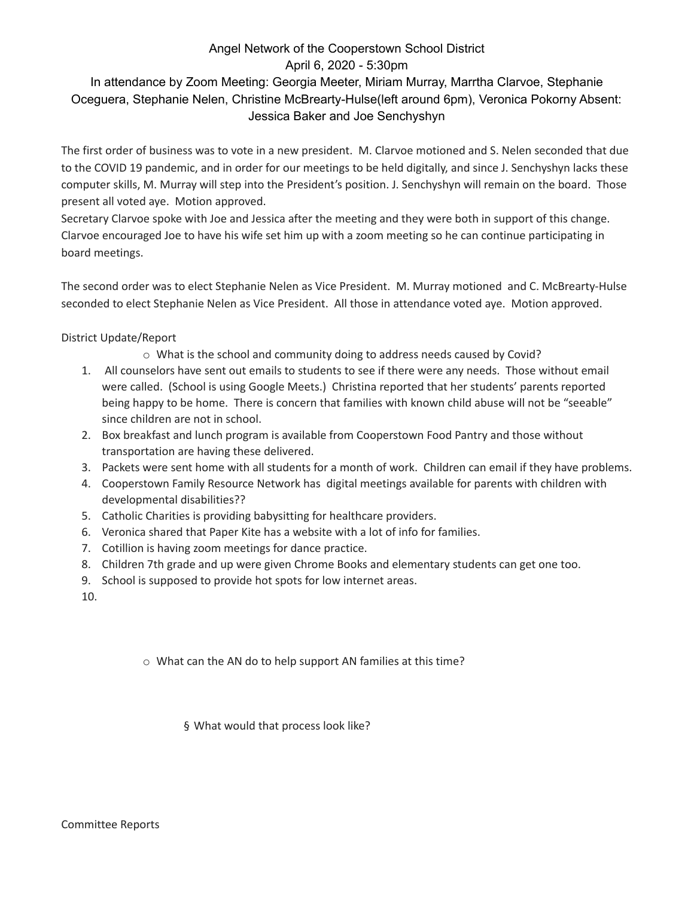## Angel Network of the Cooperstown School District April 6, 2020 - 5:30pm

## In attendance by Zoom Meeting: Georgia Meeter, Miriam Murray, Marrtha Clarvoe, Stephanie Oceguera, Stephanie Nelen, Christine McBrearty-Hulse(left around 6pm), Veronica Pokorny Absent: Jessica Baker and Joe Senchyshyn

The first order of business was to vote in a new president. M. Clarvoe motioned and S. Nelen seconded that due to the COVID 19 pandemic, and in order for our meetings to be held digitally, and since J. Senchyshyn lacks these computer skills, M. Murray will step into the President's position. J. Senchyshyn will remain on the board. Those present all voted aye. Motion approved.

Secretary Clarvoe spoke with Joe and Jessica after the meeting and they were both in support of this change. Clarvoe encouraged Joe to have his wife set him up with a zoom meeting so he can continue participating in board meetings.

The second order was to elect Stephanie Nelen as Vice President. M. Murray motioned and C. McBrearty-Hulse seconded to elect Stephanie Nelen as Vice President. All those in attendance voted aye. Motion approved.

## District Update/Report

- o What is the school and community doing to address needs caused by Covid?
- 1. All counselors have sent out emails to students to see if there were any needs. Those without email were called. (School is using Google Meets.) Christina reported that her students' parents reported being happy to be home. There is concern that families with known child abuse will not be "seeable" since children are not in school.
- 2. Box breakfast and lunch program is available from Cooperstown Food Pantry and those without transportation are having these delivered.
- 3. Packets were sent home with all students for a month of work. Children can email if they have problems.
- 4. Cooperstown Family Resource Network has digital meetings available for parents with children with developmental disabilities??
- 5. Catholic Charities is providing babysitting for healthcare providers.
- 6. Veronica shared that Paper Kite has a website with a lot of info for families.
- 7. Cotillion is having zoom meetings for dance practice.
- 8. Children 7th grade and up were given Chrome Books and elementary students can get one too.
- 9. School is supposed to provide hot spots for low internet areas.
- 10.

o What can the AN do to help support AN families at this time?

§ What would that process look like?